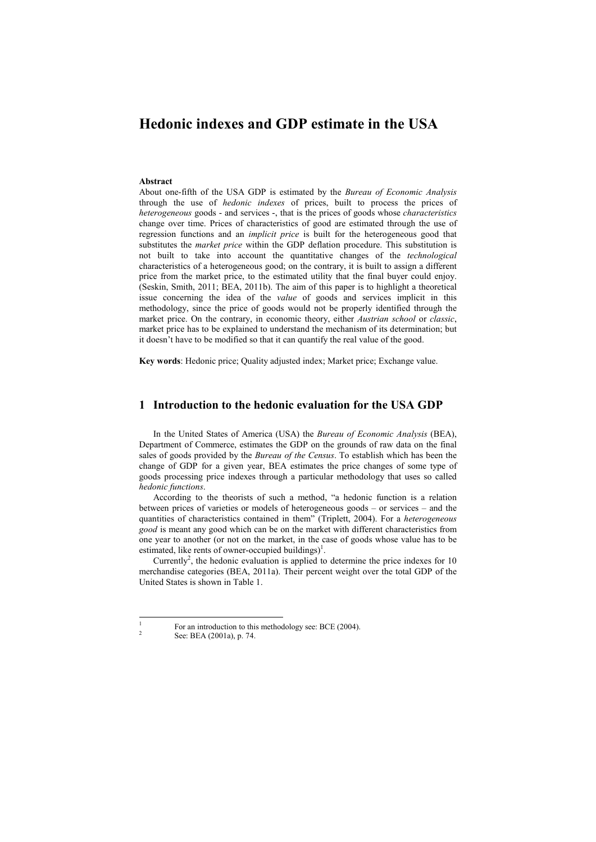# **Hedonic indexes and GDP estimate in the USA**

#### **Abstract**

About one-fifth of the USA GDP is estimated by the *Bureau of Economic Analysis* through the use of *hedonic indexes* of prices, built to process the prices of *heterogeneous* goods - and services -, that is the prices of goods whose *characteristics* change over time. Prices of characteristics of good are estimated through the use of regression functions and an *implicit price* is built for the heterogeneous good that substitutes the *market price* within the GDP deflation procedure. This substitution is not built to take into account the quantitative changes of the *technological*  characteristics of a heterogeneous good; on the contrary, it is built to assign a different price from the market price, to the estimated utility that the final buyer could enjoy. (Seskin, Smith, 2011; BEA, 2011b). The aim of this paper is to highlight a theoretical issue concerning the idea of the *value* of goods and services implicit in this methodology, since the price of goods would not be properly identified through the market price. On the contrary, in economic theory, either *Austrian school* or *classic*, market price has to be explained to understand the mechanism of its determination; but it doesn't have to be modified so that it can quantify the real value of the good.

**Key words**: Hedonic price; Quality adjusted index; Market price; Exchange value.

### **1 Introduction to the hedonic evaluation for the USA GDP**

In the United States of America (USA) the *Bureau of Economic Analysis* (BEA), Department of Commerce, estimates the GDP on the grounds of raw data on the final sales of goods provided by the *Bureau of the Census*. To establish which has been the change of GDP for a given year, BEA estimates the price changes of some type of goods processing price indexes through a particular methodology that uses so called *hedonic functions*.

According to the theorists of such a method, "a hedonic function is a relation between prices of varieties or models of heterogeneous goods – or services – and the quantities of characteristics contained in them" (Triplett, 2004). For a *heterogeneous good* is meant any good which can be on the market with different characteristics from one year to another (or not on the market, in the case of goods whose value has to be estimated, like rents of owner-occupied buildings)<sup>1</sup>.

Currently<sup>2</sup> , the hedonic evaluation is applied to determine the price indexes for 10 merchandise categories (BEA, 2011a). Their percent weight over the total GDP of the United States is shown in Table 1.

 $\overline{a}$ 1  $\lambda$ 

For an introduction to this methodology see: BCE (2004).

See: BEA (2001a), p. 74.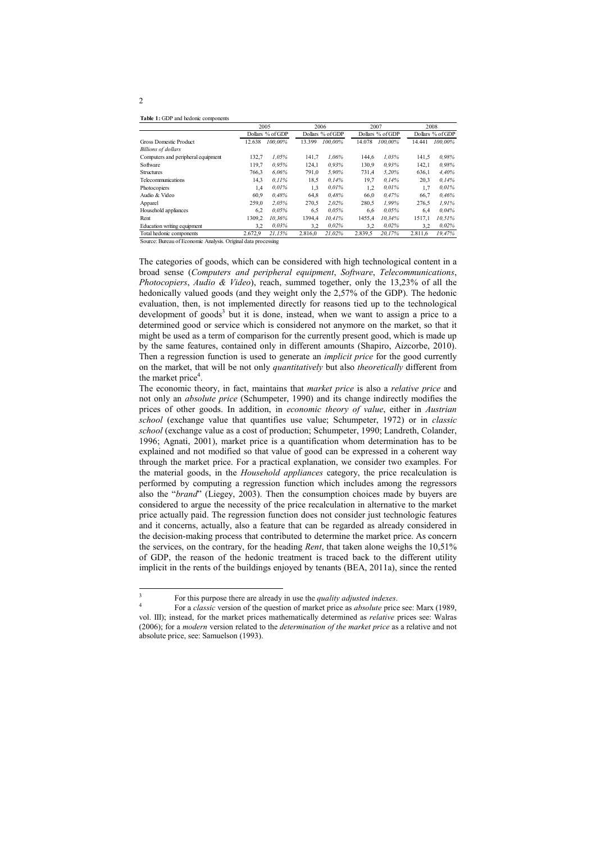**Table 1:** GDP and hedonic components

|                                    | 2005             |         | 2006             |         | 2007             |         | 2008             |         |
|------------------------------------|------------------|---------|------------------|---------|------------------|---------|------------------|---------|
|                                    | Dollars % of GDP |         | Dollars % of GDP |         | Dollars % of GDP |         | Dollars % of GDP |         |
| <b>Gross Domestic Product</b>      | 12.638           | 100.00% | 13.399           | 100.00% | 14.078           | 100.00% | 14.441           | 100.00% |
| <b>Billions of dollars</b>         |                  |         |                  |         |                  |         |                  |         |
| Computers and peripheral equipment | 132,7            | 1.05%   | 141.7            | 1.06%   | 144.6            | 1.03%   | 141,5            | 0.98%   |
| Software                           | 119,7            | 0.95%   | 124,1            | 0.93%   | 130,9            | 0.93%   | 142.1            | 0.98%   |
| <b>Structures</b>                  | 766.3            | 6.06%   | 791,0            | 5.90%   | 731.4            | 5.20%   | 636.1            | 4.40%   |
| Telecommunications                 | 14.3             | 0.11%   | 18.5             | 0.14%   | 19,7             | 0.14%   | 20.3             | 0.14%   |
| Photocopiers                       | 1,4              | 0.01%   | 1.3              | 0.01%   | 1,2              | 0.01%   | 1,7              | 0.01%   |
| Audio & Video                      | 60,9             | 0.48%   | 64,8             | 0.48%   | 66,0             | 0.47%   | 66,7             | 0.46%   |
| Apparel                            | 259.0            | 2.05%   | 270.5            | 2.02%   | 280,5            | 1.99%   | 276.5            | 1.91%   |
| Household appliances               | 6,2              | 0.05%   | 6.5              | 0.05%   | 6.6              | 0.05%   | 6,4              | 0.04%   |
| Rent                               | 1309.2           | 10.36%  | 1394.4           | 10.41%  | 1455.4           | 10.34%  | 1517.1           | 10.51%  |
| Education writing equipment        | 3,2              | 0.03%   | 3.2              | 0.02%   | 3,2              | 0.02%   | 3,2              | 0.02%   |
| Total hedonic components           | 2.672,9          | 21,15%  | 2.816.0          | 21.02%  | 2.839.5          | 20,17%  | 2.811.6          | 19,47%  |

Source: Bureau of Economic Analysis. Original data processing

The categories of goods, which can be considered with high technological content in a broad sense (*Computers and peripheral equipment*, *Software*, *Telecommunications*, *Photocopiers*, *Audio & Video*), reach, summed together, only the 13,23% of all the hedonically valued goods (and they weight only the 2,57% of the GDP). The hedonic evaluation, then, is not implemented directly for reasons tied up to the technological development of goods<sup>3</sup> but it is done, instead, when we want to assign a price to a determined good or service which is considered not anymore on the market, so that it might be used as a term of comparison for the currently present good, which is made up by the same features, contained only in different amounts (Shapiro, Aizcorbe, 2010). Then a regression function is used to generate an *implicit price* for the good currently on the market, that will be not only *quantitatively* but also *theoretically* different from the market price<sup>4</sup>.

The economic theory, in fact, maintains that *market price* is also a *relative price* and not only an *absolute price* (Schumpeter, 1990) and its change indirectly modifies the prices of other goods. In addition, in *economic theory of value*, either in *Austrian school* (exchange value that quantifies use value; Schumpeter, 1972) or in *classic school* (exchange value as a cost of production; Schumpeter, 1990; Landreth, Colander, 1996; Agnati, 2001), market price is a quantification whom determination has to be explained and not modified so that value of good can be expressed in a coherent way through the market price. For a practical explanation, we consider two examples. For the material goods, in the *Household appliances* category, the price recalculation is performed by computing a regression function which includes among the regressors also the "*brand*" (Liegey, 2003). Then the consumption choices made by buyers are considered to argue the necessity of the price recalculation in alternative to the market price actually paid. The regression function does not consider just technologic features and it concerns, actually, also a feature that can be regarded as already considered in the decision-making process that contributed to determine the market price. As concern the services, on the contrary, for the heading *Rent*, that taken alone weighs the 10,51% of GDP, the reason of the hedonic treatment is traced back to the different utility implicit in the rents of the buildings enjoyed by tenants (BEA, 2011a), since the rented

3

For this purpose there are already in use the *quality adjusted indexes*.

<sup>4</sup> For a *classic* version of the question of market price as *absolute* price see: Marx (1989, vol. III); instead, for the market prices mathematically determined as *relative* prices see: Walras (2006); for a *modern* version related to the *determination of the market price* as a relative and not absolute price, see: Samuelson (1993).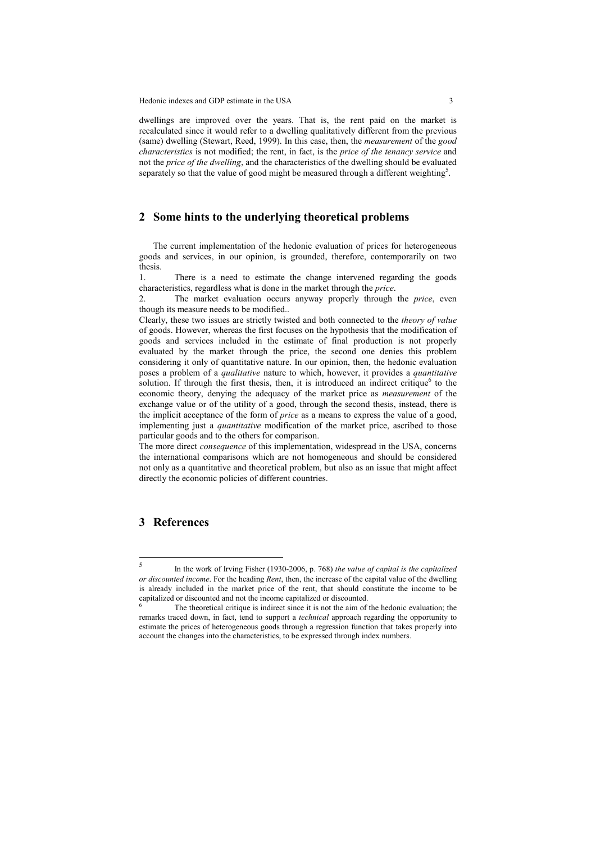Hedonic indexes and GDP estimate in the USA 3

dwellings are improved over the years. That is, the rent paid on the market is recalculated since it would refer to a dwelling qualitatively different from the previous (same) dwelling (Stewart, Reed, 1999). In this case, then, the *measurement* of the *good characteristics* is not modified; the rent, in fact, is the *price of the tenancy service* and not the *price of the dwelling*, and the characteristics of the dwelling should be evaluated separately so that the value of good might be measured through a different weighting<sup>5</sup>.

## **2 Some hints to the underlying theoretical problems**

The current implementation of the hedonic evaluation of prices for heterogeneous goods and services, in our opinion, is grounded, therefore, contemporarily on two thesis.

1. There is a need to estimate the change intervened regarding the goods characteristics, regardless what is done in the market through the *price*.

2. The market evaluation occurs anyway properly through the *price*, even though its measure needs to be modified..

Clearly, these two issues are strictly twisted and both connected to the *theory of value* of goods. However, whereas the first focuses on the hypothesis that the modification of goods and services included in the estimate of final production is not properly evaluated by the market through the price, the second one denies this problem considering it only of quantitative nature. In our opinion, then, the hedonic evaluation poses a problem of a *qualitative* nature to which, however, it provides a *quantitative* solution. If through the first thesis, then, it is introduced an indirect critique $<sup>6</sup>$  to the</sup> economic theory, denying the adequacy of the market price as *measurement* of the exchange value or of the utility of a good, through the second thesis, instead, there is the implicit acceptance of the form of *price* as a means to express the value of a good, implementing just a *quantitative* modification of the market price, ascribed to those particular goods and to the others for comparison.

The more direct *consequence* of this implementation, widespread in the USA, concerns the international comparisons which are not homogeneous and should be considered not only as a quantitative and theoretical problem, but also as an issue that might affect directly the economic policies of different countries.

# **3 References**

 5 In the work of Irving Fisher (1930-2006, p. 768) *the value of capital is the capitalized or discounted income*. For the heading *Rent*, then, the increase of the capital value of the dwelling is already included in the market price of the rent, that should constitute the income to be capitalized or discounted and not the income capitalized or discounted.

<sup>6</sup> The theoretical critique is indirect since it is not the aim of the hedonic evaluation; the remarks traced down, in fact, tend to support a *technical* approach regarding the opportunity to estimate the prices of heterogeneous goods through a regression function that takes properly into account the changes into the characteristics, to be expressed through index numbers.